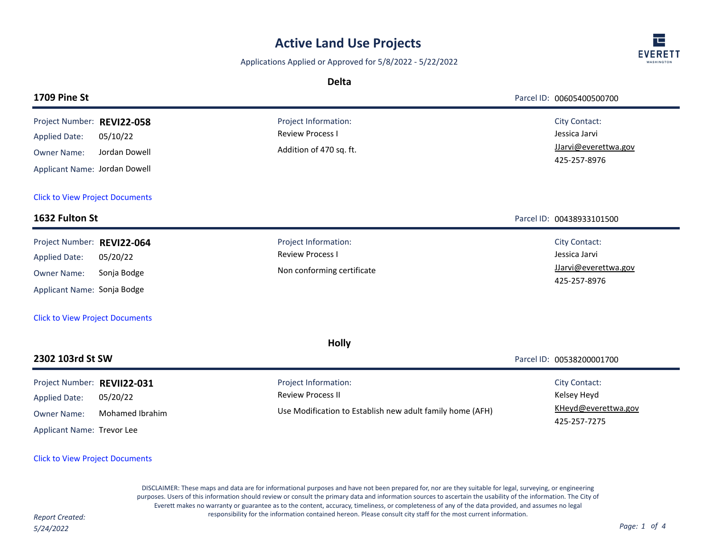# **Active Land Use Projects**

Applications Applied or Approved for 5/8/2022 - 5/22/2022

**Delta**

| /FRE<br><b>WASHINGTON</b> |
|---------------------------|

|                                                                                                                                                   |                             | Deild                                                                                                         |                                                                               |
|---------------------------------------------------------------------------------------------------------------------------------------------------|-----------------------------|---------------------------------------------------------------------------------------------------------------|-------------------------------------------------------------------------------|
| <b>1709 Pine St</b>                                                                                                                               |                             |                                                                                                               | Parcel ID: 00605400500700                                                     |
| Project Number: REVI22-058<br><b>Applied Date:</b>                                                                                                | 05/10/22                    | Project Information:<br><b>Review Process I</b><br>Addition of 470 sq. ft.                                    | <b>City Contact:</b><br>Jessica Jarvi<br>JJarvi@everettwa.gov                 |
| <b>Owner Name:</b><br>Applicant Name: Jordan Dowell                                                                                               | Jordan Dowell               |                                                                                                               | 425-257-8976                                                                  |
| <b>Click to View Project Documents</b>                                                                                                            |                             |                                                                                                               |                                                                               |
| 1632 Fulton St                                                                                                                                    |                             |                                                                                                               | Parcel ID: 00438933101500                                                     |
| Project Number: REVI22-064<br><b>Applied Date:</b><br><b>Owner Name:</b><br>Applicant Name: Sonja Bodge<br><b>Click to View Project Documents</b> | 05/20/22<br>Sonja Bodge     | Project Information:<br><b>Review Process I</b><br>Non conforming certificate                                 | <b>City Contact:</b><br>Jessica Jarvi<br>JJarvi@everettwa.gov<br>425-257-8976 |
|                                                                                                                                                   |                             | <b>Holly</b>                                                                                                  |                                                                               |
| 2302 103rd St SW                                                                                                                                  |                             |                                                                                                               | Parcel ID: 00538200001700                                                     |
| Project Number: REVII22-031<br><b>Applied Date:</b><br><b>Owner Name:</b><br>Applicant Name: Trevor Lee                                           | 05/20/22<br>Mohamed Ibrahim | Project Information:<br><b>Review Process II</b><br>Use Modification to Establish new adult family home (AFH) | <b>City Contact:</b><br>Kelsey Heyd<br>KHeyd@everettwa.gov<br>425-257-7275    |

### [Click to View Project Documents](https://pw.everettwa.gov/eTRAKiT/Search/project.aspx?activityNo=REVII22-031)

DISCLAIMER: These maps and data are for informational purposes and have not been prepared for, nor are they suitable for legal, surveying, or engineering purposes. Users of this information should review or consult the primary data and information sources to ascertain the usability of the information. The City of Everett makes no warranty or guarantee as to the content, accuracy, timeliness, or completeness of any of the data provided, and assumes no legal responsibility for the information contained hereon. Please consult city staff for the most current information. *Report Created:*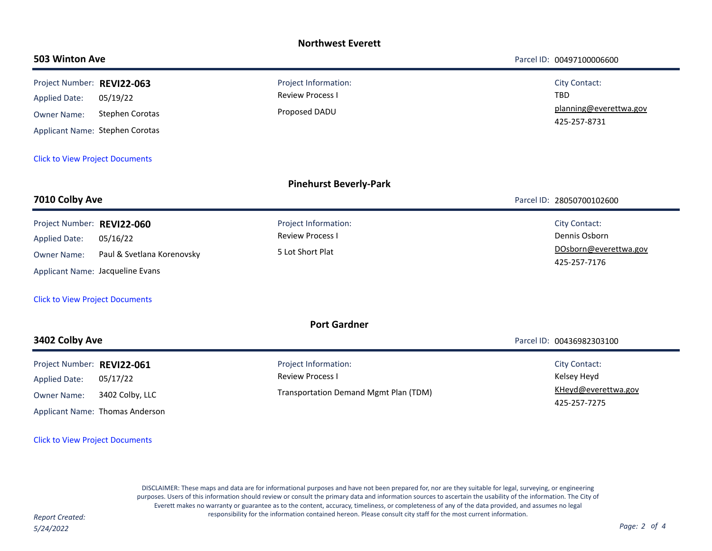| <b>Northwest Everett</b>                                                                                                                              |                                                                |                                                                                          |                                                                                |  |  |  |  |
|-------------------------------------------------------------------------------------------------------------------------------------------------------|----------------------------------------------------------------|------------------------------------------------------------------------------------------|--------------------------------------------------------------------------------|--|--|--|--|
| 503 Winton Ave                                                                                                                                        |                                                                |                                                                                          | Parcel ID: 00497100006600                                                      |  |  |  |  |
| Project Number: REVI22-063<br><b>Applied Date:</b><br><b>Owner Name:</b><br>Applicant Name: Stephen Corotas<br><b>Click to View Project Documents</b> | 05/19/22<br><b>Stephen Corotas</b>                             | Project Information:<br><b>Review Process I</b><br>Proposed DADU                         | <b>City Contact:</b><br>TBD<br>planning@everettwa.gov<br>425-257-8731          |  |  |  |  |
|                                                                                                                                                       |                                                                | <b>Pinehurst Beverly-Park</b>                                                            |                                                                                |  |  |  |  |
| 7010 Colby Ave                                                                                                                                        |                                                                |                                                                                          | Parcel ID: 28050700102600                                                      |  |  |  |  |
| Project Number: REVI22-060<br><b>Applied Date:</b><br><b>Owner Name:</b><br>Applicant Name: Jacqueline Evans                                          | 05/16/22<br>Paul & Svetlana Korenovsky                         | Project Information:<br><b>Review Process I</b><br>5 Lot Short Plat                      | <b>City Contact:</b><br>Dennis Osborn<br>DOsborn@everettwa.gov<br>425-257-7176 |  |  |  |  |
| <b>Click to View Project Documents</b>                                                                                                                |                                                                |                                                                                          |                                                                                |  |  |  |  |
| <b>Port Gardner</b>                                                                                                                                   |                                                                |                                                                                          |                                                                                |  |  |  |  |
| 3402 Colby Ave                                                                                                                                        |                                                                |                                                                                          | Parcel ID: 00436982303100                                                      |  |  |  |  |
| Project Number: REVI22-061<br><b>Applied Date:</b><br><b>Owner Name:</b>                                                                              | 05/17/22<br>3402 Colby, LLC<br>Applicant Name: Thomas Anderson | Project Information:<br><b>Review Process I</b><br>Transportation Demand Mgmt Plan (TDM) | City Contact:<br>Kelsey Heyd<br>KHeyd@everettwa.gov<br>425-257-7275            |  |  |  |  |

#### [Click to View Project Documents](https://pw.everettwa.gov/eTRAKiT/Search/project.aspx?activityNo=REVI22-061)

DISCLAIMER: These maps and data are for informational purposes and have not been prepared for, nor are they suitable for legal, surveying, or engineering purposes. Users of this information should review or consult the primary data and information sources to ascertain the usability of the information. The City of Everett makes no warranty or guarantee as to the content, accuracy, timeliness, or completeness of any of the data provided, and assumes no legal responsibility for the information contained hereon. Please consult city staff for the most current information. *Report Created:*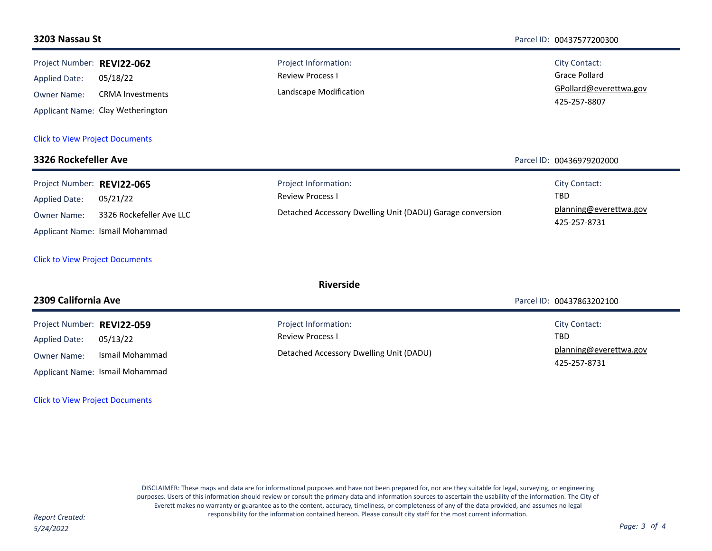#### **3203 Nassau St** Parcel ID: 00437577200300 **REVI22-062** Project Number: 05/18/22 GPollard@everettwa.gov Grace Pollard 425-257-8807 Review Process I CRMA Investments Landscape Modification Applicant Name: Clay Wetherington Applied Date: Owner Name: Project Information: City Contact: [Click to View Project Documents](https://pw.everettwa.gov/eTRAKiT/Search/project.aspx?activityNo=REVI22-062) **3326 Rockefeller Ave** Parcel ID: 00436979202000 Project Number: REVI22-065 05/21/22 planning@everettwa.gov TBD 425-257-8731 Review Process I 3326 Rockefeller Ave LLC Detached Accessory Dwelling Unit (DADU) Garage conversion Applicant Name: Ismail Mohammad Applied Date: Owner Name: Project Information: The Contact: City Contact: [Click to View Project Documents](https://pw.everettwa.gov/eTRAKiT/Search/project.aspx?activityNo=REVI22-065) **Riverside 2309 California Ave** Parcel ID: 00437863202100 **REVI22-059** Project Number: 05/13/22 planning@everettwa.gov TBD 425-257-8731 Review Process I Detached Accessory Dwelling Unit (DADU) Ismail Mohammad Applicant Name: Ismail Mohammad Applied Date: Owner Name: Project Information: City Contact: City Contact: [Click to View Project Documents](https://pw.everettwa.gov/eTRAKiT/Search/project.aspx?activityNo=REVI22-059)